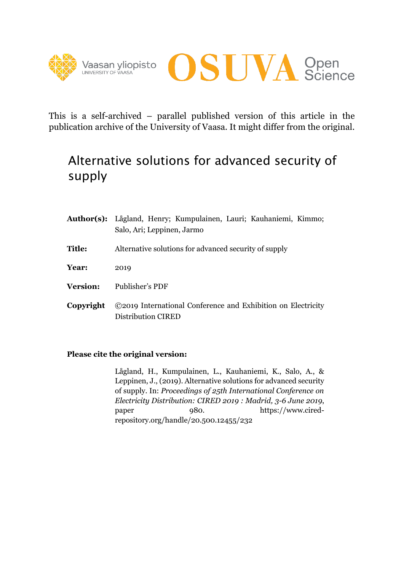



This is a self-archived – parallel published version of this article in the publication archive of the University of Vaasa. It might differ from the original.

# Alternative solutions for advanced security of supply

|                 | Author(s): Lågland, Henry; Kumpulainen, Lauri; Kauhaniemi, Kimmo;<br>Salo, Ari; Leppinen, Jarmo |
|-----------------|-------------------------------------------------------------------------------------------------|
| <b>Title:</b>   | Alternative solutions for advanced security of supply                                           |
| Year:           | 2019                                                                                            |
| <b>Version:</b> | Publisher's PDF                                                                                 |
| Copyright       | ©2019 International Conference and Exhibition on Electricity<br>Distribution CIRED              |

# **Please cite the original version:**

Lågland, H., Kumpulainen, L., Kauhaniemi, K., Salo, A., & Leppinen, J., (2019). Alternative solutions for advanced security of supply. In: *Proceedings of 25th International Conference on Electricity Distribution: CIRED 2019 : Madrid, 3-6 June 2019*, paper 980. https://www.ciredrepository.org/handle/20.500.12455/232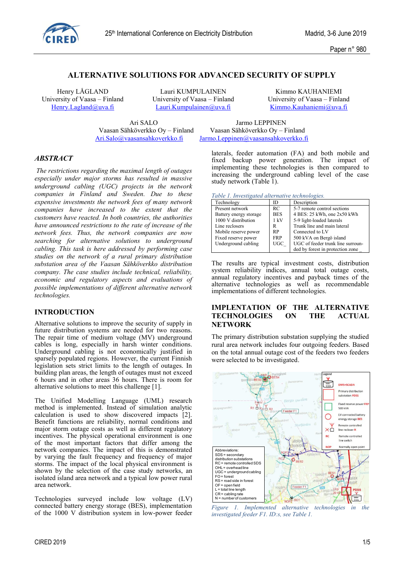

# **ALTERNATIVE SOLUTIONS FOR ADVANCED SECURITY OF SUPPLY**

Henry LÅGLAND Lauri KUMPULAINEN Kimmo KAUHANIEMI University of Vaasa – Finland University of Vaasa – Finland University of Vaasa – Finland Henry. Lagland *Q*uva. fi Lauri. Kumpulainen *Q*uva. fi Kimmo. Kauhaniem *i Quva*. fi

Lauri.Kumpulainen@uva.fi Kimmo.Kauhaniemi@uva.fi

Ari SALO Jarmo LEPPINEN

Vaasan Sähköverkko Oy – Finland Vaasan Sähköverkko Oy – Finland Ari. Salo @vaasansahkoverkko fi Jarmo. Leppinen @vaasansahkoverkko f Jarmo.Leppinen@vaasansahkoverkko.fi

#### *ABSTRACT*

*The restrictions regarding the maximal length of outages especially under major storms has resulted in massive underground cabling (UGC) projects in the network companies in Finland and Sweden. Due to these expensive investments the network fees of many network companies have increased to the extent that the customers have reacted. In both countries, the authorities have announced restrictions to the rate of increase of the network fees. Thus, the network companies are now searching for alternative solutions to underground cabling. This task is here addressed by performing case studies on the network of a rural primary distribution substation area of the Vaasan Sähköverkko distribution company. The case studies include technical, reliability, economic and regulatory aspects and evaluations of possible implementations of different alternative network technologies.* 

#### **INTRODUCTION**

Alternative solutions to improve the security of supply in future distribution systems are needed for two reasons. The repair time of medium voltage (MV) underground cables is long, especially in harsh winter conditions. Underground cabling is not economically justified in sparsely populated regions. However, the current Finnish legislation sets strict limits to the length of outages. In building plan areas, the length of outages must not exceed 6 hours and in other areas 36 hours. There is room for alternative solutions to meet this challenge [1].

The Unified Modelling Language (UML) research method is implemented. Instead of simulation analytic calculation is used to show discovered impacts [2]. Benefit functions are reliability, normal conditions and major storm outage costs as well as different regulatory incentives. The physical operational environment is one of the most important factors that differ among the network companies. The impact of this is demonstrated by varying the fault frequency and frequency of major storms. The impact of the local physical environment is shown by the selection of the case study networks, an isolated island area network and a typical low power rural area network.

Technologies surveyed include low voltage (LV) connected battery energy storage (BES), implementation of the 1000 V distribution system in low-power feeder laterals, feeder automation (FA) and both mobile and fixed backup power generation. The impact of implementing these technologies is then compared to increasing the underground cabling level of the case study network (Table 1).

*Table 1. Investigated alternative technologies.*

| Technology             | ID         | Description                       |
|------------------------|------------|-----------------------------------|
| Present network        | RC         | 5-7 remote control sections       |
| Battery energy storage | <b>BES</b> | 4 BES: 25 kWh, one 2x50 kWh       |
| 1000 V distribution    | 1 kV       | 5-9 light-loaded laterals         |
| Line reclosers         | R          | Trunk line and main lateral       |
| Mobile reserve power   | <b>RP</b>  | Connected to LV                   |
| Fixed reserve power    | <b>FRP</b> | 500 kVA on Bergö island           |
| Underground cabling    | <b>UGC</b> | UGC of feeder trunk line surroun- |
|                        |            | ded by forest in protection zone  |

The results are typical investment costs, distribution system reliability indices, annual total outage costs, annual regulatory incentives and payback times of the alternative technologies as well as recommendable implementations of different technologies.

### **IMPLENTATION OF THE ALTERNATIVE TECHNOLOGIES ON THE ACTUAL NETWORK**

The primary distribution substation supplying the studied rural area network includes four outgoing feeders. Based on the total annual outage cost of the feeders two feeders were selected to be investigated.



*Figure 1. Implemented alternative technologies in the investigated feeder F1. ID:s, see Table 1.*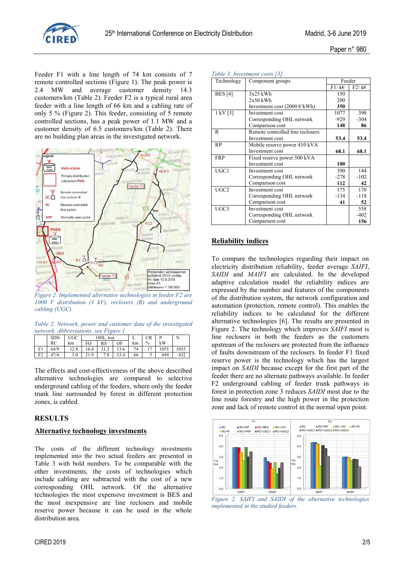

Feeder F1 with a line length of 74 km consists of 7 remote controlled sections (Figure 1). The peak power is 2.4 MW and average customer density 14.3 customers/km (Table 2). Feeder F2 is a typical rural area feeder with a line length of 66 km and a cabling rate of only 5 % (Figure 2). This feeder, consisting of 5 remote controlled sections, has a peak power of 1.1 MW and a customer density of 6.5 customers/km (Table 2). There are no building plan areas in the investigated network.



*Figure 2. Implemented alternative technologies in feeder F2 are 1000 V distribution (1 kV), reclosers (R) and underground cabling (UGC).*

*Table 2. Network, power and customer data of the investigated network. Abbreviations, see Figure 1.*

|    | SDS/ | UGC  | OHL.<br>km       |                  |      | ┻  | CR   | n    | N    |
|----|------|------|------------------|------------------|------|----|------|------|------|
|    | RC   | km   | FO               | RS               | OF   | km | $\%$ | kW   |      |
| F1 | 64/9 | 12.8 | 16.4             | $\pm$ . $\angle$ | 13.6 | 74 |      | 1055 | 1055 |
| F٦ | 47/4 | 3.0  | $\Omega$<br>41.2 | 7.8              | 33.4 | 66 | ◡    | 449  | 432  |

The effects and cost-effectiveness of the above described alternative technologies are compared to selective underground cabling of the feeders, where only the feeder trunk line surrounded by forest in different protection zones, is cabled.

#### **RESULTS**

#### **Alternative technology investments**

The costs of the different technology investments implemented into the two actual feeders are presented in Table 3 with bold numbers. To be comparable with the other investments, the costs of technologies which include cabling are subtracted with the cost of a new corresponding OHL network. Of the alternative technologies the most expensive investment is BES and the most inexpensive are line reclosers and mobile reserve power because it can be used in the whole distribution area.

| Technology       | Component groups                       | Feeder |        |
|------------------|----------------------------------------|--------|--------|
|                  |                                        | F1/kE  | F2/kE  |
| <b>BES</b> [4]   | $3x25$ kWh                             | 150    |        |
|                  | $2x50$ kWh                             | 200    |        |
|                  | Investment cost $(2000 \text{ E/kWh})$ | 350    |        |
| $1$ kV $[5]$     | Investment cost                        | 1077   | 390    |
|                  | Corresponding OHL network              | $-929$ | $-304$ |
|                  | Comparison cost                        | 148    | 86     |
| R                | Remote controlled line reclosers       |        |        |
|                  | Investment cost                        | 53.4   | 53.4   |
| RP               | Mobile reserve power 410 kVA           |        |        |
|                  | Investment cost                        | 68.1   | 68.1   |
| <b>FRP</b>       | Fixed reserve power 500 kVA            |        |        |
|                  | Investment cost                        | 100    |        |
| UGC1             | Investment cost                        | 390    | 144    |
|                  | Corresponding OHL network              | $-278$ | $-102$ |
|                  | Comparison cost                        | 112    | 42     |
| UGC <sub>2</sub> | Investment cost                        | 175    | 170    |
|                  | Corresponding OHL network              | $-134$ | $-118$ |
|                  | Comparison cost                        | 41     | 52     |
| UGC3             | Investment cost                        |        | 558    |
|                  | Corresponding OHL network              |        | $-402$ |
|                  | Comparison cost                        |        | 156    |

#### **Reliability indices**

*Table 3. Investment costs [3].* 

To compare the technologies regarding their impact on electricity distribution reliability, feeder average *SAIFI*, *SAIDI* and *MAIFI* are calculated. In the developed adaptive calculation model the reliability indices are expressed by the number and features of the components of the distribution system, the network configuration and automation (protection, remote control). This enables the reliability indices to be calculated for the different alternative technologies [6]. The results are presented in Figure 2. The technology which improves *SAIFI* most is line reclosers in both the feeders as the customers upstream of the reclosers are protected from the influence of faults downstream of the reclosers. In feeder F1 fixed reserve power is the technology which has the largest impact on *SAIDI* because except for the first part of the feeder there are no alternate pathways available. In feeder F2 underground cabling of feeder trunk pathways in forest in protection zone 3 reduces *SAIDI* most due to the line route forestry and the high power in the protection zone and lack of remote control in the normal open point.



*Figure 2. SAIFI and SAIDI of the alternative technologies implemented in the studied feeders.*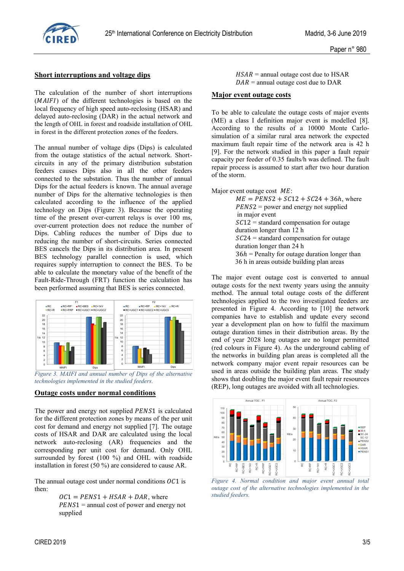

#### **Short interruptions and voltage dips**

The calculation of the number of short interruptions  $(MAlFI)$  of the different technologies is based on the local frequency of high speed auto-reclosing (HSAR) and delayed auto-reclosing (DAR) in the actual network and the length of OHL in forest and roadside installation of OHL in forest in the different protection zones of the feeders.

The annual number of voltage dips (Dips) is calculated from the outage statistics of the actual network. Shortcircuits in any of the primary distribution substation feeders causes Dips also in all the other feeders connected to the substation. Thus the number of annual Dips for the actual feeders is known. The annual average number of Dips for the alternative technologies is then calculated according to the influence of the applied technology on Dips (Figure 3). Because the operating time of the present over-current relays is over 100 ms, over-current protection does not reduce the number of Dips. Cabling reduces the number of Dips due to reducing the number of short-circuits. Series connected BES cancels the Dips in its distribution area. In present BES technology parallel connection is used, which requires supply interruption to connect the BES. To be able to calculate the monetary value of the benefit of the Fault-Ride-Through (FRT) function the calculation has been performed assuming that BES is series connected.



*Figure 3. MAIFI and annual number of Dips of the alternative technologies implemented in the studied feeders.*

#### **Outage costs under normal conditions**

The power and energy not supplied *PENS*1 is calculated for the different protection zones by means of the per unit cost for demand and energy not supplied [7]. The outage costs of HSAR and DAR are calculated using the local network auto-reclosing (AR) frequencies and the corresponding per unit cost for demand. Only OHL surrounded by forest (100 %) and OHL with roadside installation in forest (50 %) are considered to cause AR.

The annual outage cost under normal conditions  $OCI$  is then:

> $OCI = PENS1 + HSAR + DAR$ , where  $PENS1 =$  annual cost of power and energy not supplied

 $HSAR$  = annual outage cost due to HSAR  $DAR$  = annual outage cost due to DAR

#### **Major event outage costs**

To be able to calculate the outage costs of major events (ME) a class I definition major event is modelled [8]. According to the results of a 10000 Monte Carlosimulation of a similar rural area network the expected maximum fault repair time of the network area is 42 h [9]. For the network studied in this paper a fault repair capacity per feeder of 0.35 faults/h was defined. The fault repair process is assumed to start after two hour duration of the storm.

Major event outage cost  $ME$ :

| $ME = PENS2 + SC12 + SC24 + 36h$ , where        |
|-------------------------------------------------|
| $PENS2$ = power and energy not supplied         |
| in major event                                  |
| $SC12$ = standard compensation for outage       |
| duration longer than 12 h                       |
| $SC24$ = standard compensation for outage       |
| duration longer than 24 h                       |
| $36h$ = Penalty for outage duration longer than |
| 36 h in areas outside building plan areas       |
|                                                 |

The major event outage cost is converted to annual outage costs for the next twenty years using the annuity method. The annual total outage costs of the different technologies applied to the two investigated feeders are presented in Figure 4. According to [10] the network companies have to establish and update every second year a development plan on how to fulfil the maximum outage duration times in their distribution areas. By the end of year 2028 long outages are no longer permitted (red colours in Figure 4). As the underground cabling of the networks in building plan areas is completed all the network company major event repair resources can be used in areas outside the building plan areas. The study shows that doubling the major event fault repair resources (REP), long outages are avoided with all technologies.



*Figure 4. Normal condition and major event annual total outage cost of the alternative technologies implemented in the studied feeders.*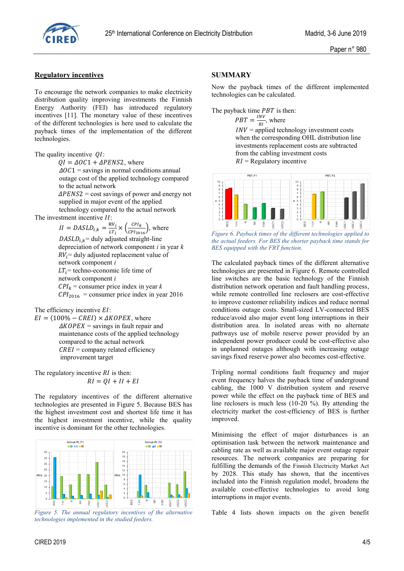

#### **Regulatory incentives**

To encourage the network companies to make electricity distribution quality improving investments the Finnish Energy Authority (FEI) has introduced regulatory incentives [11]. The monetary value of these incentives of the different technologies is here used to calculate the payback times of the implementation of the different technologies.

The quality incentive  $QI$ :

 $QI = \Delta O C1 + \Delta P E N S2$ , where

 $\Delta O C1$  = savings in normal conditions annual outage cost of the applied technology compared to the actual network

 $\Delta P E N S2$  = cost savings of power and energy not supplied in major event of the applied technology compared to the actual network

The investment incentive  $II$ :

 $II = DASLD_{i,k} = \frac{R}{l}$  $\frac{RV_i}{LT_i} \times \left(\frac{C}{CP}\right)$  $\frac{CPI_{k}}{CPI_{2016}}$ , where  $DASLD_{i,k}$  = duly adjusted straight-line depreciation of network component *i* in year *k*  $RV<sub>i</sub>$  = duly adjusted replacement value of network component *i*  $LT_i$  = techno-economic life time of network component *i*  $CPI_k$  = consumer price index in year *k*  $\text{CPI}_{2016}$  = consumer price index in year 2016

The efficiency incentive  $EI$ :

 $EI = (100\% - CREI) \times \Delta KOPEX$ , where  $\triangle KOPEX$  = savings in fault repair and maintenance costs of the applied technology compared to the actual network  $CREI =$  company related efficiency improvement target

The regulatory incentive  $RI$  is then:  $RI = QI + II + EI$ 

The regulatory incentives of the different alternative technologies are presented in Figure 5. Because BES has the highest investment cost and shortest life time it has the highest investment incentive, while the quality incentive is dominant for the other technologies.



*Figure 5. The annual regulatory incentives of the alternative technologies implemented in the studied feeders.*

## **SUMMARY**

Now the payback times of the different implemented technologies can be calculated.

The payback time  $PBT$  is then:

l  $\frac{N}{RI}$ , where

 $INV = applied technology investment costs$  when the corresponding OHL distribution line investments replacement costs are subtracted from the cabling investment costs  $RI =$  Regulatory incentive



*Figure 6. Payback times of the different technologies applied to the actual feeders. For BES the shorter payback time stands for BES equipped with the FRT function.*

The calculated payback times of the different alternative technologies are presented in Figure 6. Remote controlled line switches are the basic technology of the Finnish distribution network operation and fault handling process, while remote controlled line reclosers are cost-effective to improve customer reliability indices and reduce normal conditions outage costs. Small-sized LV-connected BES reduce/avoid also major event long interruptions in their distribution area. In isolated areas with no alternate pathways use of mobile reserve power provided by an independent power producer could be cost-effective also in unplanned outages although with increasing outage savings fixed reserve power also becomes cost-effective.

Tripling normal conditions fault frequency and major event frequency halves the payback time of underground cabling, the 1000 V distribution system and reserve power while the effect on the payback time of BES and line reclosers is much less (10-20 %). By attending the electricity market the cost-efficiency of BES is further improved.

Minimising the effect of major disturbances is an optimisation task between the network maintenance and cabling rate as well as available major event outage repair resources. The network companies are preparing for fulfilling the demands of the Finnish Electricity Market Act by 2028. This study has shown, that the incentives included into the Finnish regulation model, broadens the available cost-effective technologies to avoid long interruptions in major events.

Table 4 lists shown impacts on the given benefit